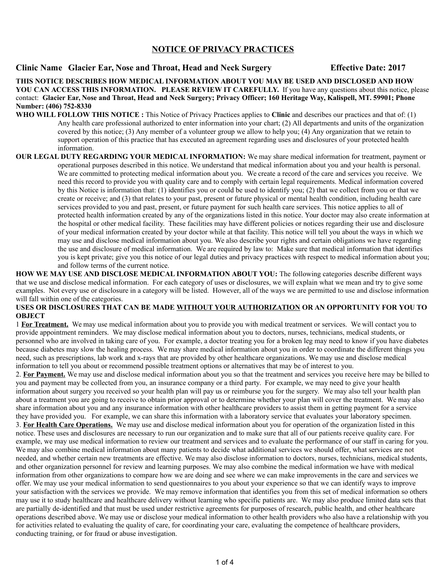## **NOTICE OF PRIVACY PRACTICES**

## **Clinic Name Glacier Ear, Nose and Throat, Head and Neck Surgery Effective Date: 2017**

**THIS NOTICE DESCRIBES HOW MEDICAL INFORMATION ABOUT YOU MAY BE USED AND DISCLOSED AND HOW YOU CAN ACCESS THIS INFORMATION. PLEASE REVIEW IT CAREFULLY.** If you have any questions about this notice, please contact: **Glacier Ear, Nose and Throat, Head and Neck Surgery; Privacy Officer; 160 Heritage Way, Kalispell, MT. 59901; Phone Number: (406) 752-8330**

- **WHO WILL FOLLOW THIS NOTICE :** This Notice of Privacy Practices applies to **Clinic** and describes our practices and that of: (1) Any health care professional authorized to enter information into your chart; (2) All departments and units of the organization covered by this notice; (3) Any member of a volunteer group we allow to help you; (4) Any organization that we retain to support operation of this practice that has executed an agreement regarding uses and disclosures of your protected health information.
- **OUR LEGAL DUTY REGARDING YOUR MEDICAL INFORMATION:** We may share medical information for treatment, payment or operational purposes described in this notice. We understand that medical information about you and your health is personal. We are committed to protecting medical information about you. We create a record of the care and services you receive. We need this record to provide you with quality care and to comply with certain legal requirements. Medical information covered by this Notice is information that: (1) identifies you or could be used to identify you; (2) that we collect from you or that we create or receive; and (3) that relates to your past, present or future physical or mental health condition, including health care services provided to you and past, present, or future payment for such health care services. This notice applies to all of protected health information created by any of the organizations listed in this notice. Your doctor may also create information at the hospital or other medical facility. These facilities may have different policies or notices regarding their use and disclosure of your medical information created by your doctor while at that facility. This notice will tell you about the ways in which we may use and disclose medical information about you. We also describe your rights and certain obligations we have regarding the use and disclosure of medical information. We are required by law to: Make sure that medical information that identifies you is kept private; give you this notice of our legal duties and privacy practices with respect to medical information about you; and follow terms of the current notice.

**HOW WE MAY USE AND DISCLOSE MEDICAL INFORMATION ABOUT YOU:** The following categories describe different ways that we use and disclose medical information. For each category of uses or disclosures, we will explain what we mean and try to give some examples. Not every use or disclosure in a category will be listed. However, all of the ways we are permitted to use and disclose information will fall within one of the categories.

## **USES OR DISCLOSURES THAT CAN BE MADE WITHOUT YOUR AUTHORIZATION OR AN OPPORTUNITY FOR YOU TO OBJECT**

1 **For Treatment.** We may use medical information about you to provide you with medical treatment or services. We will contact you to provide appointment reminders. We may disclose medical information about you to doctors, nurses, technicians, medical students, or personnel who are involved in taking care of you. For example, a doctor treating you for a broken leg may need to know if you have diabetes because diabetes may slow the healing process. We may share medical information about you in order to coordinate the different things you need, such as prescriptions, lab work and x-rays that are provided by other healthcare organizations. We may use and disclose medical information to tell you about or recommend possible treatment options or alternatives that may be of interest to you.

2. **For Payment.** We may use and disclose medical information about you so that the treatment and services you receive here may be billed to you and payment may be collected from you, an insurance company or a third party. For example, we may need to give your health information about surgery you received so your health plan will pay us or reimburse you for the surgery. We may also tell your health plan about a treatment you are going to receive to obtain prior approval or to determine whether your plan will cover the treatment. We may also share information about you and any insurance information with other healthcare providers to assist them in getting payment for a service they have provided you. For example, we can share this information with a laboratory service that evaluates your laboratory specimen. 3. **For Health Care Operations.** We may use and disclose medical information about you for operation of the organization listed in this notice. These uses and disclosures are necessary to run our organization and to make sure that all of our patients receive quality care. For example, we may use medical information to review our treatment and services and to evaluate the performance of our staff in caring for you. We may also combine medical information about many patients to decide what additional services we should offer, what services are not needed, and whether certain new treatments are effective. We may also disclose information to doctors, nurses, technicians, medical students, and other organization personnel for review and learning purposes. We may also combine the medical information we have with medical information from other organizations to compare how we are doing and see where we can make improvements in the care and services we offer. We may use your medical information to send questionnaires to you about your experience so that we can identify ways to improve your satisfaction with the services we provide. We may remove information that identifies you from this set of medical information so others may use it to study healthcare and healthcare delivery without learning who specific patients are. We may also produce limited data sets that are partially de-identified and that must be used under restrictive agreements for purposes of research, public health, and other healthcare operations described above. We may use or disclose your medical information to other health providers who also have a relationship with you for activities related to evaluating the quality of care, for coordinating your care, evaluating the competence of healthcare providers, conducting training, or for fraud or abuse investigation.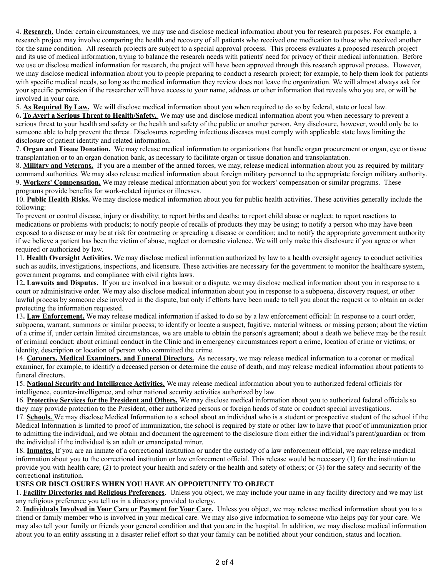4. **Research.** Under certain circumstances, we may use and disclose medical information about you for research purposes. For example, a research project may involve comparing the health and recovery of all patients who received one medication to those who received another for the same condition. All research projects are subject to a special approval process. This process evaluates a proposed research project and its use of medical information, trying to balance the research needs with patients' need for privacy of their medical information. Before we use or disclose medical information for research, the project will have been approved through this research approval process. However, we may disclose medical information about you to people preparing to conduct a research project; for example, to help them look for patients with specific medical needs, so long as the medical information they review does not leave the organization. We will almost always ask for your specific permission if the researcher will have access to your name, address or other information that reveals who you are, or will be involved in your care.

5. **As Required By Law.** We will disclose medical information about you when required to do so by federal, state or local law.

6**. To Avert a Serious Threat to Health/Safety.** We may use and disclose medical information about you when necessary to prevent a serious threat to your health and safety or the health and safety of the public or another person. Any disclosure, however, would only be to someone able to help prevent the threat. Disclosures regarding infectious diseases must comply with applicable state laws limiting the disclosure of patient identity and related information.

7. **Organ and Tissue Donation.** We may release medical information to organizations that handle organ procurement or organ, eye or tissue transplantation or to an organ donation bank, as necessary to facilitate organ or tissue donation and transplantation.

8. **Military and Veterans.** If you are a member of the armed forces, we may, release medical information about you as required by military command authorities. We may also release medical information about foreign military personnel to the appropriate foreign military authority. 9. **Workers' Compensation.** We may release medical information about you for workers' compensation or similar programs. These programs provide benefits for work-related injuries or illnesses.

10. **Public Health Risks.** We may disclose medical information about you for public health activities. These activities generally include the following:

To prevent or control disease, injury or disability; to report births and deaths; to report child abuse or neglect; to report reactions to medications or problems with products; to notify people of recalls of products they may be using; to notify a person who may have been exposed to a disease or may be at risk for contracting or spreading a disease or condition; and to notify the appropriate government authority if we believe a patient has been the victim of abuse, neglect or domestic violence. We will only make this disclosure if you agree or when required or authorized by law.

11. **Health Oversight Activities.** We may disclose medical information authorized by law to a health oversight agency to conduct activities such as audits, investigations, inspections, and licensure. These activities are necessary for the government to monitor the healthcare system, government programs, and compliance with civil rights laws.

12**. Lawsuits and Disputes.** If you are involved in a lawsuit or a dispute, we may disclose medical information about you in response to a court or administrative order. We may also disclose medical information about you in response to a subpoena, discovery request, or other lawful process by someone else involved in the dispute, but only if efforts have been made to tell you about the request or to obtain an order protecting the information requested.

13**. Law Enforcement.** We may release medical information if asked to do so by a law enforcement official: In response to a court order, subpoena, warrant, summons or similar process; to identify or locate a suspect, fugitive, material witness, or missing person; about the victim of a crime if, under certain limited circumstances, we are unable to obtain the person's agreement; about a death we believe may be the result of criminal conduct; about criminal conduct in the Clinic and in emergency circumstances report a crime, location of crime or victims; or identity, description or location of person who committed the crime.

14. **Coroners, Medical Examiners, and Funeral Directors.** As necessary, we may release medical information to a coroner or medical examiner, for example, to identify a deceased person or determine the cause of death, and may release medical information about patients to funeral directors.

15. **National Security and Intelligence Activities.** We may release medical information about you to authorized federal officials for intelligence, counter-intelligence, and other national security activities authorized by law.

16. **Protective Services for the President and Others.** We may disclose medical information about you to authorized federal officials so they may provide protection to the President, other authorized persons or foreign heads of state or conduct special investigations.

17. **Schools.** We may disclose Medical Information to a school about an individual who is a student or prospective student of the school if the Medical Information is limited to proof of immunization, the school is required by state or other law to have that proof of immunization prior to admitting the individual, and we obtain and document the agreement to the disclosure from either the individual's parent/guardian or from the individual if the individual is an adult or emancipated minor.

18. **Inmates.** If you are an inmate of a correctional institution or under the custody of a law enforcement official, we may release medical information about you to the correctional institution or law enforcement official. This release would be necessary (1) for the institution to provide you with health care; (2) to protect your health and safety or the health and safety of others; or (3) for the safety and security of the correctional institution.

## **USES OR DISCLOSURES WHEN YOU HAVE AN OPPORTUNITY TO OBJECT**

1. **Facility Directories and Religious Preferences**. Unless you object, we may include your name in any facility directory and we may list any religious preference you tell us in a directory provided to clergy.

2. **Individuals Involved in Your Care or Payment for Your Care.** Unless you object, we may release medical information about you to a friend or family member who is involved in your medical care. We may also give information to someone who helps pay for your care. We may also tell your family or friends your general condition and that you are in the hospital. In addition, we may disclose medical information about you to an entity assisting in a disaster relief effort so that your family can be notified about your condition, status and location.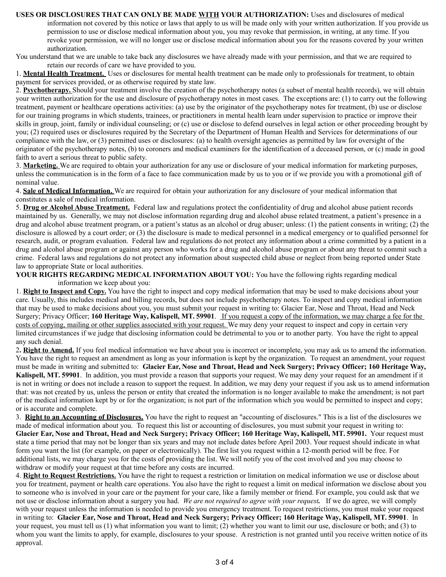**USES OR DISCLOSURES THAT CAN ONLY BE MADE WITH YOUR AUTHORIZATION:** Uses and disclosures of medical information not covered by this notice or laws that apply to us will be made only with your written authorization. If you provide us permission to use or disclose medical information about you, you may revoke that permission, in writing, at any time. If you revoke your permission, we will no longer use or disclose medical information about you for the reasons covered by your written authorization.

You understand that we are unable to take back any disclosures we have already made with your permission, and that we are required to retain our records of care we have provided to you.

1. **Mental Health Treatment.** Uses or disclosures for mental health treatment can be made only to professionals for treatment, to obtain payment for services provided, or as otherwise required by state law.

2. **Psychotherapy.** Should your treatment involve the creation of the psychotherapy notes (a subset of mental health records), we will obtain your written authorization for the use and disclosure of psychotherapy notes in most cases. The exceptions are: (1) to carry out the following treatment, payment or healthcare operations activities: (a) use by the originator of the psychotherapy notes for treatment, (b) use or disclose for our training programs in which students, trainees, or practitioners in mental health learn under supervision to practice or improve their skills in group, joint, family or individual counseling; or (c) use or disclose to defend ourselves in legal action or other proceeding brought by you; (2) required uses or disclosures required by the Secretary of the Department of Human Health and Services for determinations of our compliance with the law, or (3) permitted uses or disclosures: (a) to health oversight agencies as permitted by law for oversight of the originator of the psychotherapy notes, (b) to coroners and medical examiners for the identification of a deceased person, or (c) made in good faith to avert a serious threat to public safety.

3. **Marketing.** We are required to obtain your authorization for any use or disclosure of your medical information for marketing purposes, unless the communication is in the form of a face to face communication made by us to you or if we provide you with a promotional gift of nominal value.

4. **Sale of Medical Information.** We are required for obtain your authorization for any disclosure of your medical information that constitutes a sale of medical information.

5. **Drug or Alcohol Abuse Treatment.** Federal law and regulations protect the confidentiality of drug and alcohol abuse patient records maintained by us. Generally, we may not disclose information regarding drug and alcohol abuse related treatment, a patient's presence in a drug and alcohol abuse treatment program, or a patient's status as an alcohol or drug abuser; unless: (1) the patient consents in writing; (2) the disclosure is allowed by a court order; or (3) the disclosure is made to medical personnel in a medical emergency or to qualified personnel for research, audit, or program evaluation. Federal law and regulations do not protect any information about a crime committed by a patient in a drug and alcohol abuse program or against any person who works for a drug and alcohol abuse program or about any threat to commit such a crime. Federal laws and regulations do not protect any information about suspected child abuse or neglect from being reported under State law to appropriate State or local authorities.

**YOUR RIGHTS REGARDING MEDICAL INFORMATION ABOUT YOU:** You have the following rights regarding medical information we keep about you:

1. **Right to Inspect and Copy.** You have the right to inspect and copy medical information that may be used to make decisions about your care. Usually, this includes medical and billing records, but does not include psychotherapy notes. To inspect and copy medical information that may be used to make decisions about you, you must submit your request in writing to: Glacier Ear, Nose and Throat, Head and Neck Surgery; Privacy Officer; **160 Heritage Way, Kalispell, MT. 59901**. If you request a copy of the information, we may charge a fee for the costs of copying, mailing or other supplies associated with your request. We may deny your request to inspect and copy in certain very limited circumstances if we judge that disclosing information could be detrimental to you or to another party. You have the right to appeal any such denial.

2**. Right to Amend.** If you feel medical information we have about you is incorrect or incomplete, you may ask us to amend the information. You have the right to request an amendment as long as your information is kept by the organization. To request an amendment, your request must be made in writing and submitted to: **Glacier Ear, Nose and Throat, Head and Neck Surgery; Privacy Officer; 160 Heritage Way, Kalispell, MT. 59901**. In addition, you must provide a reason that supports your request. We may deny your request for an amendment if it is not in writing or does not include a reason to support the request. In addition, we may deny your request if you ask us to amend information that: was not created by us, unless the person or entity that created the information is no longer available to make the amendment; is not part of the medical information kept by or for the organization; is not part of the information which you would be permitted to inspect and copy; or is accurate and complete.

3. **Right to an Accounting of Disclosures.** You have the right to request an "accounting of disclosures." This is a list of the disclosures we made of medical information about you. To request this list or accounting of disclosures, you must submit your request in writing to: **Glacier Ear, Nose and Throat, Head and Neck Surgery; Privacy Officer; 160 Heritage Way, Kalispell, MT. 59901.** Your request must state a time period that may not be longer than six years and may not include dates before April 2003. Your request should indicate in what form you want the list (for example, on paper or electronically). The first list you request within a 12-month period will be free. For additional lists, we may charge you for the costs of providing the list. We will notify you of the cost involved and you may choose to withdraw or modify your request at that time before any costs are incurred.

4. **Right to Request Restrictions.** You have the right to request a restriction or limitation on medical information we use or disclose about you for treatment, payment or health care operations. You also have the right to request a limit on medical information we disclose about you to someone who is involved in your care or the payment for your care, like a family member or friend. For example, you could ask that we not use or disclose information about a surgery you had. *We are not required to agree with your request.* If we do agree, we will comply with your request unless the information is needed to provide you emergency treatment. To request restrictions, you must make your request in writing to: **Glacier Ear, Nose and Throat, Head and Neck Surgery; Privacy Officer; 160 Heritage Way, Kalispell, MT. 59901**. In your request, you must tell us (1) what information you want to limit; (2) whether you want to limit our use, disclosure or both; and (3) to whom you want the limits to apply, for example, disclosures to your spouse. A restriction is not granted until you receive written notice of its approval.